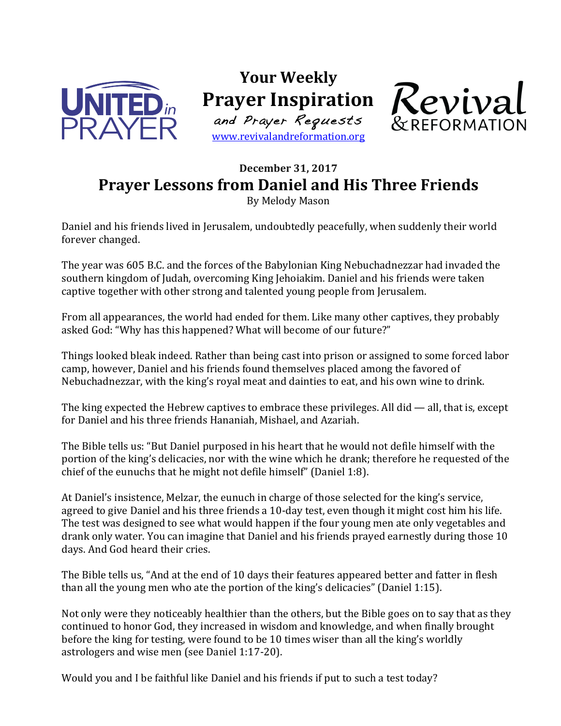

**Your Weekly Prayer Inspiration** and Prayer Requests

www.revivalandreformation.org



## **December 31, 2017 Prayer Lessons from Daniel and His Three Friends**

By Melody Mason

Daniel and his friends lived in Jerusalem, undoubtedly peacefully, when suddenly their world forever changed.

The year was 605 B.C. and the forces of the Babylonian King Nebuchadnezzar had invaded the southern kingdom of Judah, overcoming King Jehoiakim. Daniel and his friends were taken captive together with other strong and talented young people from Jerusalem.

From all appearances, the world had ended for them. Like many other captives, they probably asked God: "Why has this happened? What will become of our future?"

Things looked bleak indeed. Rather than being cast into prison or assigned to some forced labor camp, however, Daniel and his friends found themselves placed among the favored of Nebuchadnezzar, with the king's royal meat and dainties to eat, and his own wine to drink.

The king expected the Hebrew captives to embrace these privileges. All did — all, that is, except for Daniel and his three friends Hananiah, Mishael, and Azariah.

The Bible tells us: "But Daniel purposed in his heart that he would not defile himself with the portion of the king's delicacies, nor with the wine which he drank; therefore he requested of the chief of the eunuchs that he might not defile himself" (Daniel 1:8).

At Daniel's insistence, Melzar, the eunuch in charge of those selected for the king's service, agreed to give Daniel and his three friends a 10-day test, even though it might cost him his life. The test was designed to see what would happen if the four young men ate only vegetables and drank only water. You can imagine that Daniel and his friends prayed earnestly during those 10 days. And God heard their cries.

The Bible tells us, "And at the end of 10 days their features appeared better and fatter in flesh than all the young men who ate the portion of the king's delicacies" (Daniel 1:15).

Not only were they noticeably healthier than the others, but the Bible goes on to say that as they continued to honor God, they increased in wisdom and knowledge, and when finally brought before the king for testing, were found to be 10 times wiser than all the king's worldly astrologers and wise men (see Daniel 1:17-20).

Would you and I be faithful like Daniel and his friends if put to such a test today?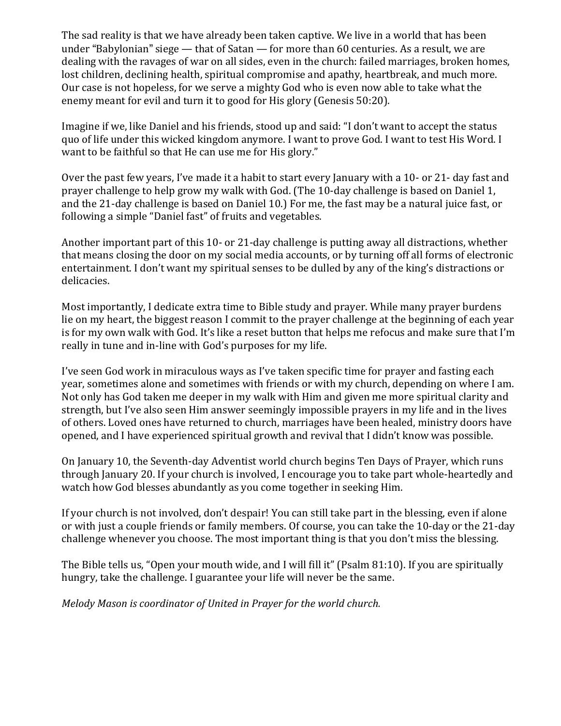The sad reality is that we have already been taken captive. We live in a world that has been under "Babylonian" siege — that of Satan — for more than 60 centuries. As a result, we are dealing with the ravages of war on all sides, even in the church: failed marriages, broken homes, lost children, declining health, spiritual compromise and apathy, heartbreak, and much more. Our case is not hopeless, for we serve a mighty God who is even now able to take what the enemy meant for evil and turn it to good for His glory (Genesis 50:20).

Imagine if we, like Daniel and his friends, stood up and said: "I don't want to accept the status quo of life under this wicked kingdom anymore. I want to prove God. I want to test His Word. I want to be faithful so that He can use me for His glory."

Over the past few years, I've made it a habit to start every January with a 10- or 21- day fast and prayer challenge to help grow my walk with God. (The 10-day challenge is based on Daniel 1, and the 21-day challenge is based on Daniel 10.) For me, the fast may be a natural juice fast, or following a simple "Daniel fast" of fruits and vegetables.

Another important part of this 10- or 21-day challenge is putting away all distractions, whether that means closing the door on my social media accounts, or by turning off all forms of electronic entertainment. I don't want my spiritual senses to be dulled by any of the king's distractions or delicacies.

Most importantly, I dedicate extra time to Bible study and prayer. While many prayer burdens lie on my heart, the biggest reason I commit to the prayer challenge at the beginning of each year is for my own walk with God. It's like a reset button that helps me refocus and make sure that I'm really in tune and in-line with God's purposes for my life.

I've seen God work in miraculous ways as I've taken specific time for prayer and fasting each year, sometimes alone and sometimes with friends or with my church, depending on where I am. Not only has God taken me deeper in my walk with Him and given me more spiritual clarity and strength, but I've also seen Him answer seemingly impossible prayers in my life and in the lives of others. Loved ones have returned to church, marriages have been healed, ministry doors have opened, and I have experienced spiritual growth and revival that I didn't know was possible.

On January 10, the Seventh-day Adventist world church begins Ten Days of Prayer, which runs through January 20. If your church is involved, I encourage you to take part whole-heartedly and watch how God blesses abundantly as you come together in seeking Him.

If your church is not involved, don't despair! You can still take part in the blessing, even if alone or with just a couple friends or family members. Of course, you can take the 10-day or the 21-day challenge whenever you choose. The most important thing is that you don't miss the blessing.

The Bible tells us, "Open your mouth wide, and I will fill it" (Psalm 81:10). If you are spiritually hungry, take the challenge. I guarantee your life will never be the same.

*Melody Mason is coordinator of United in Prayer for the world church.*